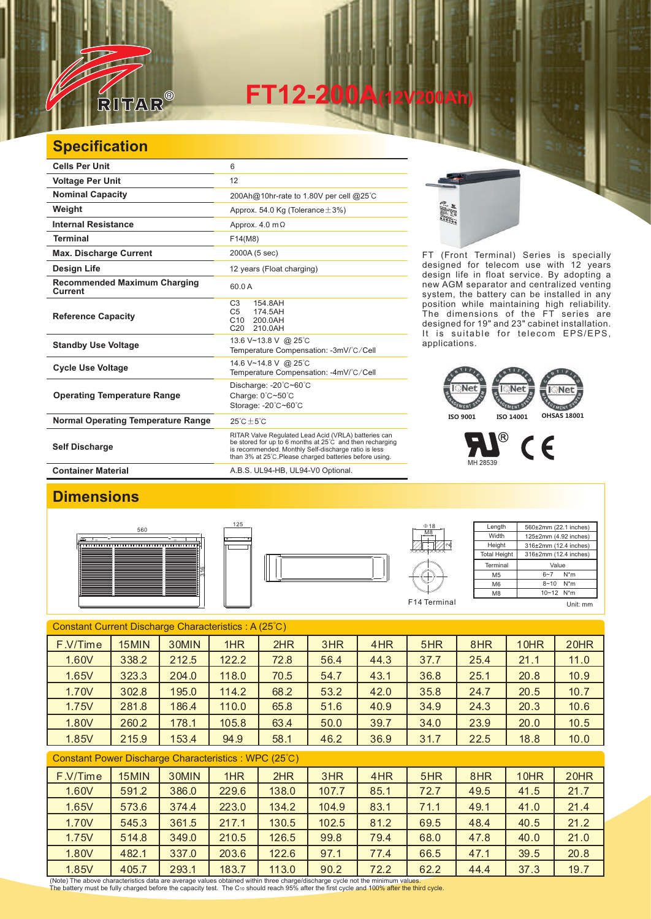

**FT12-200A(12V200Ah)** 

### **Specification**

| <b>Cells Per Unit</b>                          | 6                                                                                                                                                                                                                                   |
|------------------------------------------------|-------------------------------------------------------------------------------------------------------------------------------------------------------------------------------------------------------------------------------------|
| <b>Voltage Per Unit</b>                        | 12                                                                                                                                                                                                                                  |
| <b>Nominal Capacity</b>                        | 200Ah@10hr-rate to 1.80V per cell @25°C                                                                                                                                                                                             |
| Weight                                         | Approx. 54.0 Kg (Tolerance $\pm$ 3%)                                                                                                                                                                                                |
| <b>Internal Resistance</b>                     | Approx. $4.0 \text{ m}\Omega$                                                                                                                                                                                                       |
| <b>Terminal</b>                                | F14(M8)                                                                                                                                                                                                                             |
| <b>Max. Discharge Current</b>                  | 2000A (5 sec)                                                                                                                                                                                                                       |
| <b>Design Life</b>                             | 12 years (Float charging)                                                                                                                                                                                                           |
| <b>Recommended Maximum Charging</b><br>Current | 60.0A                                                                                                                                                                                                                               |
| <b>Reference Capacity</b>                      | C <sub>3</sub><br>154.8AH<br>C <sub>5</sub><br>174.5AH<br>C10<br>200.0AH<br>C <sub>20</sub><br>210.0AH                                                                                                                              |
| <b>Standby Use Voltage</b>                     | 13.6 V~13.8 V @ 25°C<br>Temperature Compensation: -3mV/°C/Cell                                                                                                                                                                      |
| <b>Cycle Use Voltage</b>                       | 14.6 V~14.8 V @ 25°C<br>Temperature Compensation: -4mV/°C/Cell                                                                                                                                                                      |
| <b>Operating Temperature Range</b>             | Discharge: $-20^{\circ}$ C $-60^{\circ}$ C<br>Charge: 0°C~50°C<br>Storage: -20°C~60°C                                                                                                                                               |
| <b>Normal Operating Temperature Range</b>      | $25^{\circ}$ C + 5 $^{\circ}$ C                                                                                                                                                                                                     |
| <b>Self Discharge</b>                          | RITAR Valve Regulated Lead Acid (VRLA) batteries can<br>be stored for up to 6 months at 25°C and then recharging<br>is recommended. Monthly Self-discharge ratio is less<br>than 3% at 25°C. Please charged batteries before using. |
| <b>Container Material</b>                      | A.B.S. UL94-HB, UL94-V0 Optional.                                                                                                                                                                                                   |

125

FT (Front Terminal) Series is specially designed for telecom use with 12 years design life in float service. By adopting a new AGM separator and centralized venting system, the battery can be installed in any position while maintaining high reliability. The dimensions of the FT series are designed for 19" and 23" cabinet installation. It is suitable for telecom EPS/EPS, applications.

# **ISO 9001 ISO 14001 OHSAS 18001**

 $^{\circledR}$  $\epsilon$ MH 28539

#### **Dimensions**







| $\Phi$ 18<br>M <sub>8</sub> | Length              | 560±2mm (22.1 inches) |
|-----------------------------|---------------------|-----------------------|
|                             | Width               | 125±2mm (4.92 inches) |
|                             | Height              | 316±2mm (12.4 inches) |
|                             | <b>Total Height</b> | 316±2mm (12.4 inches) |
|                             | Terminal            | Value                 |
|                             | M <sub>5</sub>      | $N^*m$<br>$6 - 7$     |
|                             | M <sub>6</sub>      | $8 - 10$<br>$N^*m$    |
|                             | M <sub>8</sub>      | 10~12 N*m             |
| F14 Terminal                |                     | Unit: mm              |

| Constant Current Discharge Characteristics: A (25°C)                                                                                                                                                                                                                                                            |       |       |       |      |      |      |      |      |      |      |
|-----------------------------------------------------------------------------------------------------------------------------------------------------------------------------------------------------------------------------------------------------------------------------------------------------------------|-------|-------|-------|------|------|------|------|------|------|------|
| F.V/Time                                                                                                                                                                                                                                                                                                        | 15MIN | 30MIN | 1HR   | 2HR  | 3HR  | 4HR  | 5HR  | 8HR  | 10HR | 20HR |
| 1.60V                                                                                                                                                                                                                                                                                                           | 338.2 | 212.5 | 122.2 | 72.8 | 56.4 | 44.3 | 37.7 | 25.4 | 21.1 | 11.0 |
| 1.65V                                                                                                                                                                                                                                                                                                           | 323.3 | 204.0 | 118.0 | 70.5 | 54.7 | 43.1 | 36.8 | 25.1 | 20.8 | 10.9 |
| 1.70V                                                                                                                                                                                                                                                                                                           | 302.8 | 195.0 | 114.2 | 68.2 | 53.2 | 42.0 | 35.8 | 24.7 | 20.5 | 10.7 |
| 1.75V                                                                                                                                                                                                                                                                                                           | 281.8 | 186.4 | 110.0 | 65.8 | 51.6 | 40.9 | 34.9 | 24.3 | 20.3 | 10.6 |
| 1.80V                                                                                                                                                                                                                                                                                                           | 260.2 | 178.1 | 105.8 | 63.4 | 50.0 | 39.7 | 34.0 | 23.9 | 20.0 | 10.5 |
| 1.85V                                                                                                                                                                                                                                                                                                           | 215.9 | 153.4 | 94.9  | 58.1 | 46.2 | 36.9 | 31.7 | 22.5 | 18.8 | 10.0 |
| $Q_{\text{c}}$ and $\Box$ $Q_{\text{c}}$ and $Q_{\text{c}}$ are $Q_{\text{c}}$ and $Q_{\text{c}}$ and $Q_{\text{c}}$ and $Q_{\text{c}}$ and $Q_{\text{c}}$ and $Q_{\text{c}}$ and $Q_{\text{c}}$ and $Q_{\text{c}}$ and $Q_{\text{c}}$ and $Q_{\text{c}}$ and $Q_{\text{c}}$ and $Q_{\text{c}}$ and $Q_{\text{$ |       |       |       |      |      |      |      |      |      |      |

#### Constant Power Discharge Characteristics : WPC (25℃)

| F.V/Time | 15MIN | 30MIN | 1HR   | 2HR   | 3HR   | 4HR  | 5HR  | 8HR  | 10HR | 20HR |
|----------|-------|-------|-------|-------|-------|------|------|------|------|------|
| 1.60V    | 591.2 | 386.0 | 229.6 | 138.0 | 107.7 | 85.1 | 72.7 | 49.5 | 41.5 | 21.7 |
| 1.65V    | 573.6 | 374.4 | 223.0 | 134.2 | 104.9 | 83.1 | 71.1 | 49.1 | 41.0 | 21.4 |
| 1.70V    | 545.3 | 361.5 | 217.1 | 130.5 | 102.5 | 81.2 | 69.5 | 48.4 | 40.5 | 21.2 |
| 1.75V    | 514.8 | 349.0 | 210.5 | 126.5 | 99.8  | 79.4 | 68.0 | 47.8 | 40.0 | 21.0 |
| 1.80V    | 482.1 | 337.0 | 203.6 | 122.6 | 97.1  | 77.4 | 66.5 | 47.1 | 39.5 | 20.8 |
| 1.85V    | 405.7 | 293.1 | 183.7 | 113.0 | 90.2  | 72.2 | 62.2 | 44.4 | 37.3 | 19.7 |

(Note) The above characteristics data are average values obtained within three charge/discharge cycle not the minimum values.<br>The battery must be fully charged before the capacity test. The Cю should reach 95% after the f